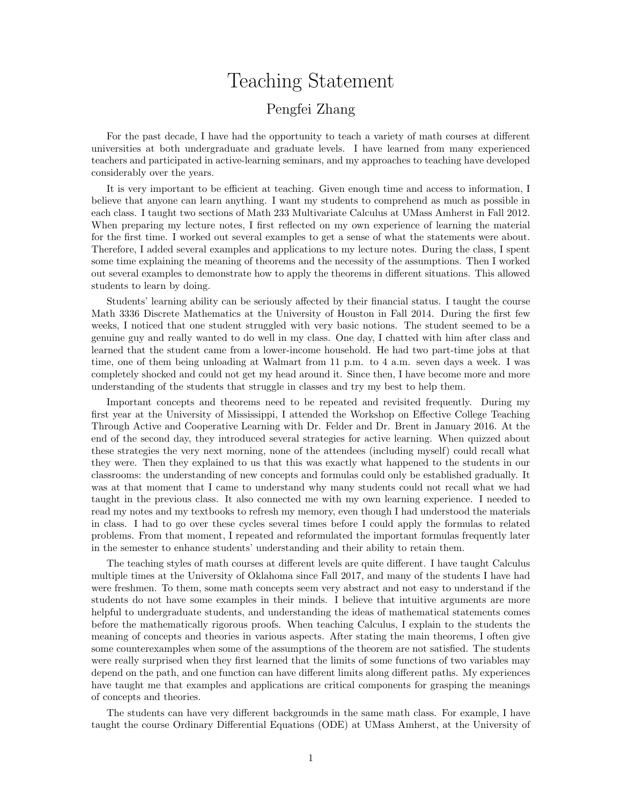## Teaching Statement

## Pengfei Zhang

For the past decade, I have had the opportunity to teach a variety of math courses at different universities at both undergraduate and graduate levels. I have learned from many experienced teachers and participated in active-learning seminars, and my approaches to teaching have developed considerably over the years.

It is very important to be efficient at teaching. Given enough time and access to information, I believe that anyone can learn anything. I want my students to comprehend as much as possible in each class. I taught two sections of Math 233 Multivariate Calculus at UMass Amherst in Fall 2012. When preparing my lecture notes, I first reflected on my own experience of learning the material for the first time. I worked out several examples to get a sense of what the statements were about. Therefore, I added several examples and applications to my lecture notes. During the class, I spent some time explaining the meaning of theorems and the necessity of the assumptions. Then I worked out several examples to demonstrate how to apply the theorems in different situations. This allowed students to learn by doing.

Students' learning ability can be seriously affected by their financial status. I taught the course Math 3336 Discrete Mathematics at the University of Houston in Fall 2014. During the first few weeks, I noticed that one student struggled with very basic notions. The student seemed to be a genuine guy and really wanted to do well in my class. One day, I chatted with him after class and learned that the student came from a lower-income household. He had two part-time jobs at that time, one of them being unloading at Walmart from 11 p.m. to 4 a.m. seven days a week. I was completely shocked and could not get my head around it. Since then, I have become more and more understanding of the students that struggle in classes and try my best to help them.

Important concepts and theorems need to be repeated and revisited frequently. During my first year at the University of Mississippi, I attended the Workshop on Effective College Teaching Through Active and Cooperative Learning with Dr. Felder and Dr. Brent in January 2016. At the end of the second day, they introduced several strategies for active learning. When quizzed about these strategies the very next morning, none of the attendees (including myself) could recall what they were. Then they explained to us that this was exactly what happened to the students in our classrooms: the understanding of new concepts and formulas could only be established gradually. It was at that moment that I came to understand why many students could not recall what we had taught in the previous class. It also connected me with my own learning experience. I needed to read my notes and my textbooks to refresh my memory, even though I had understood the materials in class. I had to go over these cycles several times before I could apply the formulas to related problems. From that moment, I repeated and reformulated the important formulas frequently later in the semester to enhance students' understanding and their ability to retain them.

The teaching styles of math courses at different levels are quite different. I have taught Calculus multiple times at the University of Oklahoma since Fall 2017, and many of the students I have had were freshmen. To them, some math concepts seem very abstract and not easy to understand if the students do not have some examples in their minds. I believe that intuitive arguments are more helpful to undergraduate students, and understanding the ideas of mathematical statements comes before the mathematically rigorous proofs. When teaching Calculus, I explain to the students the meaning of concepts and theories in various aspects. After stating the main theorems, I often give some counterexamples when some of the assumptions of the theorem are not satisfied. The students were really surprised when they first learned that the limits of some functions of two variables may depend on the path, and one function can have different limits along different paths. My experiences have taught me that examples and applications are critical components for grasping the meanings of concepts and theories.

The students can have very different backgrounds in the same math class. For example, I have taught the course Ordinary Differential Equations (ODE) at UMass Amherst, at the University of